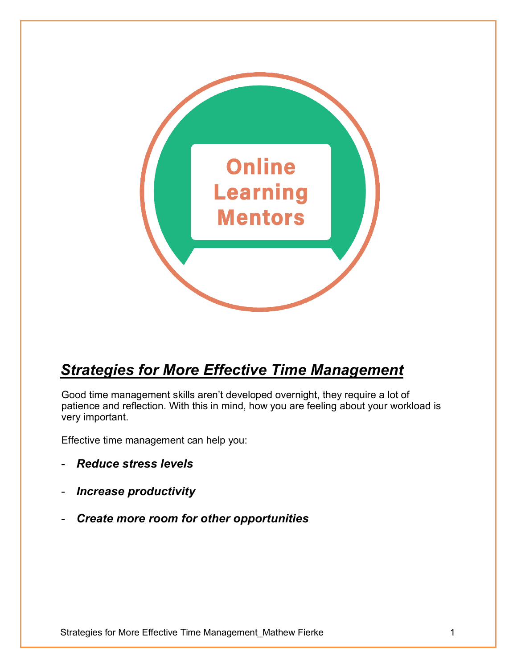

# *Strategies for More Effective Time Management*

Good time management skills aren't developed overnight, they require a lot of patience and reflection. With this in mind, how you are feeling about your workload is very important.

Effective time management can help you:

- *Reduce stress levels*
- *Increase productivity*
- *Create more room for other opportunities*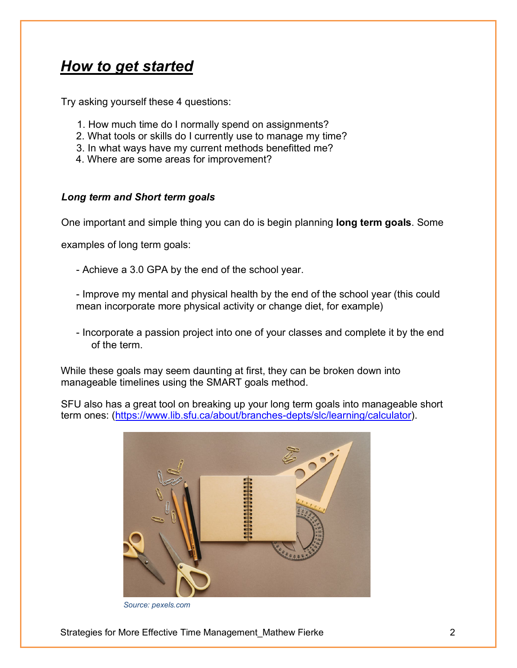### *How to get started*

Try asking yourself these 4 questions:

- 1. How much time do I normally spend on assignments?
- 2. What tools or skills do I currently use to manage my time?
- 3. In what ways have my current methods benefitted me?
- 4. Where are some areas for improvement?

#### *Long term and Short term goals*

One important and simple thing you can do is begin planning **long term goals**. Some

examples of long term goals:

- Achieve a 3.0 GPA by the end of the school year.

- Improve my mental and physical health by the end of the school year (this could mean incorporate more physical activity or change diet, for example)

- Incorporate a passion project into one of your classes and complete it by the end of the term.

While these goals may seem daunting at first, they can be broken down into manageable timelines using the SMART goals method.

SFU also has a great tool on breaking up your long term goals into manageable short term ones: [\(https://www.lib.sfu.ca/about/branches-depts/slc/learning/calculator\)](https://www.lib.sfu.ca/about/branches-depts/slc/learning/calculator).



*Source: pexels.com*

Strategies for More Effective Time Management Mathew Fierke 2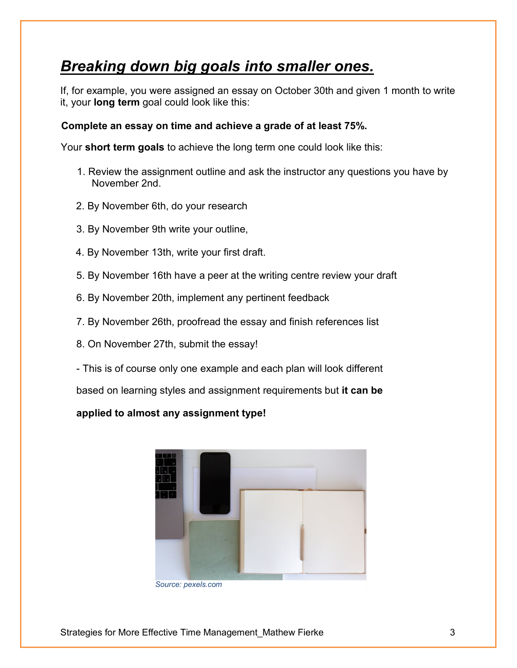## *Breaking down big goals into smaller ones.*

If, for example, you were assigned an essay on October 30th and given 1 month to write it, your **long term** goal could look like this:

#### **Complete an essay on time and achieve a grade of at least 75%.**

Your **short term goals** to achieve the long term one could look like this:

- 1. Review the assignment outline and ask the instructor any questions you have by November 2nd.
- 2. By November 6th, do your research
- 3. By November 9th write your outline,
- 4. By November 13th, write your first draft.
- 5. By November 16th have a peer at the writing centre review your draft
- 6. By November 20th, implement any pertinent feedback
- 7. By November 26th, proofread the essay and finish references list
- 8. On November 27th, submit the essay!
- This is of course only one example and each plan will look different

based on learning styles and assignment requirements but **it can be** 

#### **applied to almost any assignment type!**



*Source: pexels.com*